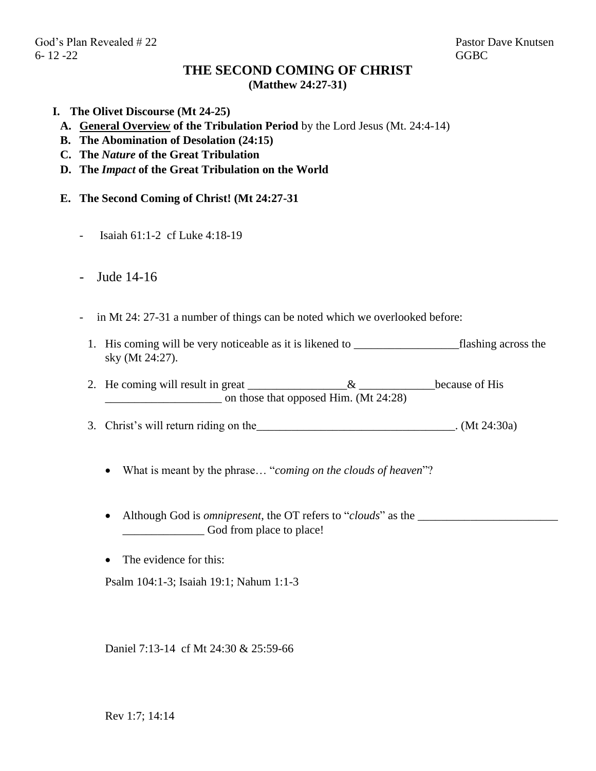## **THE SECOND COMING OF CHRIST (Matthew 24:27-31)**

- **I. The Olivet Discourse (Mt 24-25)**
	- **A. General Overview of the Tribulation Period** by the Lord Jesus (Mt. 24:4-14)
	- **B. The Abomination of Desolation (24:15)**
	- **C. The** *Nature* **of the Great Tribulation**
	- **D. The** *Impact* **of the Great Tribulation on the World**
	- **E. The Second Coming of Christ! (Mt 24:27-31**
		- Isaiah 61:1-2 cf Luke 4:18-19
		- Jude 14-16
		- in Mt 24: 27-31 a number of things can be noted which we overlooked before:
			- 1. His coming will be very noticeable as it is likened to \_\_\_\_\_\_\_\_\_\_\_\_\_\_\_\_\_\_flashing across the sky (Mt 24:27).
			- 2. He coming will result in great \_\_\_\_\_\_\_\_\_\_\_\_\_\_\_\_\_& \_\_\_\_\_\_\_\_\_\_\_\_\_\_\_\_\_because of His \_\_\_\_\_\_\_\_\_\_\_\_\_\_\_\_\_\_\_\_ on those that opposed Him. (Mt 24:28)
			- 3. Christ's will return riding on the  $(Mt\ 24:30a)$ 
				- What is meant by the phrase… "*coming on the clouds of heaven*"?
				- Although God is *omnipresent*, the OT refers to "*clouds*" as the \_\_\_\_\_\_\_\_\_\_\_\_\_\_\_\_\_\_\_\_\_\_\_\_ \_\_\_\_\_\_\_\_\_\_\_\_\_\_ God from place to place!
				- The evidence for this:

Psalm 104:1-3; Isaiah 19:1; Nahum 1:1-3

Daniel 7:13-14 cf Mt 24:30 & 25:59-66

Rev 1:7; 14:14